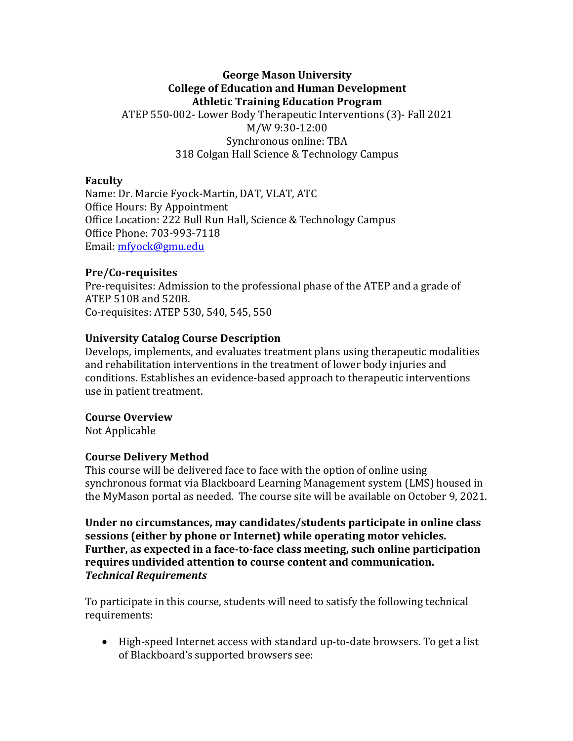## **George Mason University College of Education and Human Development Athletic Training Education Program**

ATEP 550-002- Lower Body Therapeutic Interventions (3)- Fall 2021 M/W 9:30-12:00 Synchronous online: TBA 318 Colgan Hall Science & Technology Campus

#### **Faculty**

Name: Dr. Marcie Fyock-Martin, DAT, VLAT, ATC Office Hours: By Appointment Office Location: 222 Bull Run Hall, Science & Technology Campus Office Phone: 703-993-7118 Email: mfyock@gmu.edu

### **Pre/Co-requisites**

Pre-requisites: Admission to the professional phase of the ATEP and a grade of ATEP 510B and 520B. Co-requisites: ATEP 530, 540, 545, 550

### **University Catalog Course Description**

Develops, implements, and evaluates treatment plans using therapeutic modalities and rehabilitation interventions in the treatment of lower body injuries and conditions. Establishes an evidence-based approach to therapeutic interventions use in patient treatment.

#### **Course Overview**

Not Applicable

### **Course Delivery Method**

This course will be delivered face to face with the option of online using synchronous format via Blackboard Learning Management system (LMS) housed in the MyMason portal as needed. The course site will be available on October 9, 2021.

Under no circumstances, may candidates/students participate in online class sessions (either by phone or Internet) while operating motor vehicles. **Further, as expected in a face-to-face class meeting, such online participation** requires undivided attention to course content and communication. *Technical Requirements*

To participate in this course, students will need to satisfy the following technical requirements:

• High-speed Internet access with standard up-to-date browsers. To get a list of Blackboard's supported browsers see: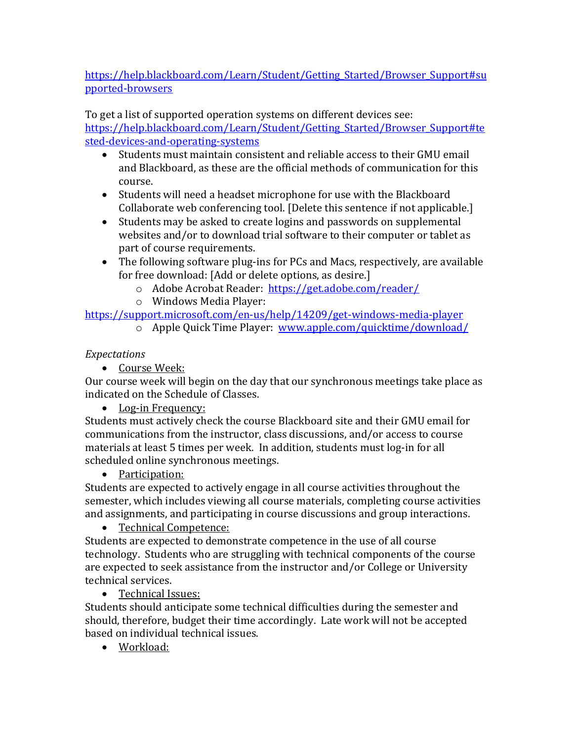https://help.blackboard.com/Learn/Student/Getting Started/Browser Support#su pported-browsers

To get a list of supported operation systems on different devices see:

https://help.blackboard.com/Learn/Student/Getting Started/Browser Support#te sted-devices-and-operating-systems

- Students must maintain consistent and reliable access to their GMU email and Blackboard, as these are the official methods of communication for this course.
- Students will need a headset microphone for use with the Blackboard Collaborate web conferencing tool. [Delete this sentence if not applicable.]
- Students may be asked to create logins and passwords on supplemental websites and/or to download trial software to their computer or tablet as part of course requirements.
- The following software plug-ins for PCs and Macs, respectively, are available for free download: [Add or delete options, as desire.]
	- o Adobe Acrobat Reader: https://get.adobe.com/reader/
	- o Windows Media Player:

https://support.microsoft.com/en-us/help/14209/get-windows-media-player

o Apple Quick Time Player: www.apple.com/quicktime/download/

# *Expectations*

• Course Week:

Our course week will begin on the day that our synchronous meetings take place as indicated on the Schedule of Classes.

• Log-in Frequency:

Students must actively check the course Blackboard site and their GMU email for communications from the instructor, class discussions, and/or access to course materials at least 5 times per week. In addition, students must log-in for all scheduled online synchronous meetings.

• Participation:

Students are expected to actively engage in all course activities throughout the semester, which includes viewing all course materials, completing course activities and assignments, and participating in course discussions and group interactions.

• Technical Competence:

Students are expected to demonstrate competence in the use of all course technology. Students who are struggling with technical components of the course are expected to seek assistance from the instructor and/or College or University technical services.

• Technical Issues:

Students should anticipate some technical difficulties during the semester and should, therefore, budget their time accordingly. Late work will not be accepted based on individual technical issues.

• Workload: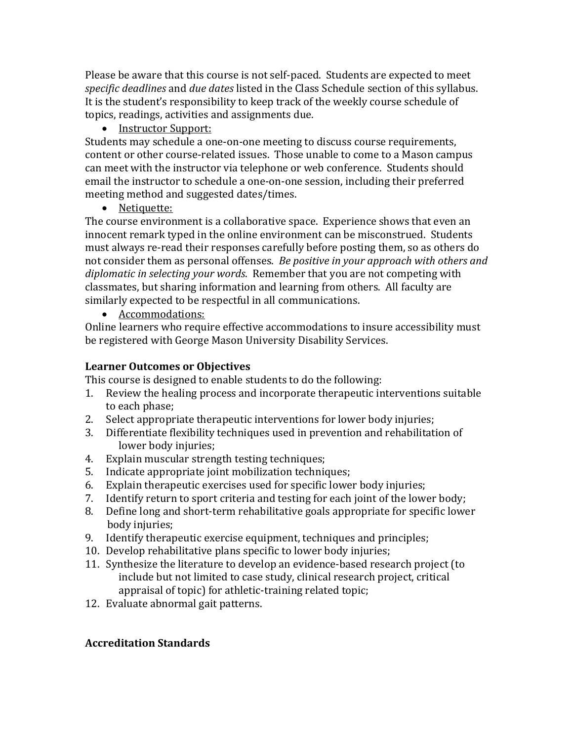Please be aware that this course is not self-paced. Students are expected to meet specific deadlines and *due dates* listed in the Class Schedule section of this syllabus. It is the student's responsibility to keep track of the weekly course schedule of topics, readings, activities and assignments due.

• Instructor Support:

Students may schedule a one-on-one meeting to discuss course requirements, content or other course-related issues. Those unable to come to a Mason campus can meet with the instructor via telephone or web conference. Students should email the instructor to schedule a one-on-one session, including their preferred meeting method and suggested dates/times.

• Netiquette:

The course environment is a collaborative space. Experience shows that even an innocent remark typed in the online environment can be misconstrued. Students must always re-read their responses carefully before posting them, so as others do not consider them as personal offenses. *Be positive in your approach with others and diplomatic in selecting your words.* Remember that you are not competing with classmates, but sharing information and learning from others. All faculty are similarly expected to be respectful in all communications.

• Accommodations:

Online learners who require effective accommodations to insure accessibility must be registered with George Mason University Disability Services.

# **Learner Outcomes or Objectives**

This course is designed to enable students to do the following:

- 1. Review the healing process and incorporate therapeutic interventions suitable to each phase;
- 2. Select appropriate therapeutic interventions for lower body injuries;
- 3. Differentiate flexibility techniques used in prevention and rehabilitation of lower body injuries;
- 4. Explain muscular strength testing techniques;
- 5. Indicate appropriate joint mobilization techniques;
- 6. Explain therapeutic exercises used for specific lower body injuries;
- 7. Identify return to sport criteria and testing for each joint of the lower body;
- 8. Define long and short-term rehabilitative goals appropriate for specific lower body injuries;
- 9. Identify therapeutic exercise equipment, techniques and principles;
- 10. Develop rehabilitative plans specific to lower body injuries;
- 11. Synthesize the literature to develop an evidence-based research project (to include but not limited to case study, clinical research project, critical appraisal of topic) for athletic-training related topic;
- 12. Evaluate abnormal gait patterns.

# **Accreditation Standards**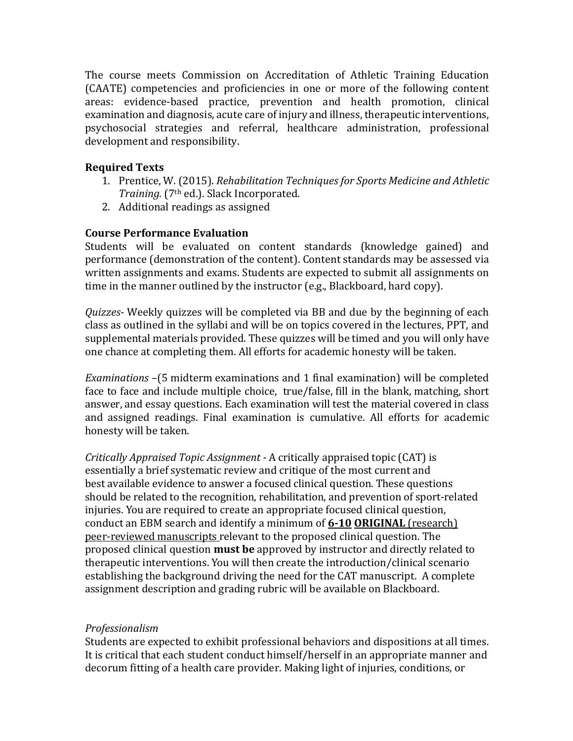The course meets Commission on Accreditation of Athletic Training Education (CAATE) competencies and proficiencies in one or more of the following content areas: evidence-based practice, prevention and health promotion, clinical examination and diagnosis, acute care of injury and illness, therapeutic interventions, psychosocial strategies and referral, healthcare administration, professional development and responsibility.

## **Required Texts**

- 1. Prentice, W. (2015). *Rehabilitation Techniques for Sports Medicine and Athletic Training.* (7<sup>th</sup> ed.). Slack Incorporated.
- 2. Additional readings as assigned

## **Course Performance Evaluation**

Students will be evaluated on content standards (knowledge gained) and performance (demonstration of the content). Content standards may be assessed via written assignments and exams. Students are expected to submit all assignments on time in the manner outlined by the instructor  $(e.g., Blackboard, hard copy)$ .

*Quizzes*- Weekly quizzes will be completed via BB and due by the beginning of each class as outlined in the syllabi and will be on topics covered in the lectures, PPT, and supplemental materials provided. These quizzes will be timed and you will only have one chance at completing them. All efforts for academic honesty will be taken.

*Examinations* –(5 midterm examinations and 1 final examination) will be completed face to face and include multiple choice, true/false, fill in the blank, matching, short answer, and essay questions. Each examination will test the material covered in class and assigned readings. Final examination is cumulative. All efforts for academic honesty will be taken.

*Critically Appraised Topic Assignment* - A critically appraised topic (CAT) is essentially a brief systematic review and critique of the most current and best available evidence to answer a focused clinical question. These questions should be related to the recognition, rehabilitation, and prevention of sport-related injuries. You are required to create an appropriate focused clinical question, conduct an EBM search and identify a minimum of 6-10 ORIGINAL (research) peer-reviewed manuscripts relevant to the proposed clinical question. The proposed clinical question **must be** approved by instructor and directly related to therapeutic interventions. You will then create the introduction/clinical scenario establishing the background driving the need for the CAT manuscript. A complete assignment description and grading rubric will be available on Blackboard.

### *Professionalism*

Students are expected to exhibit professional behaviors and dispositions at all times. It is critical that each student conduct himself/herself in an appropriate manner and decorum fitting of a health care provider. Making light of injuries, conditions, or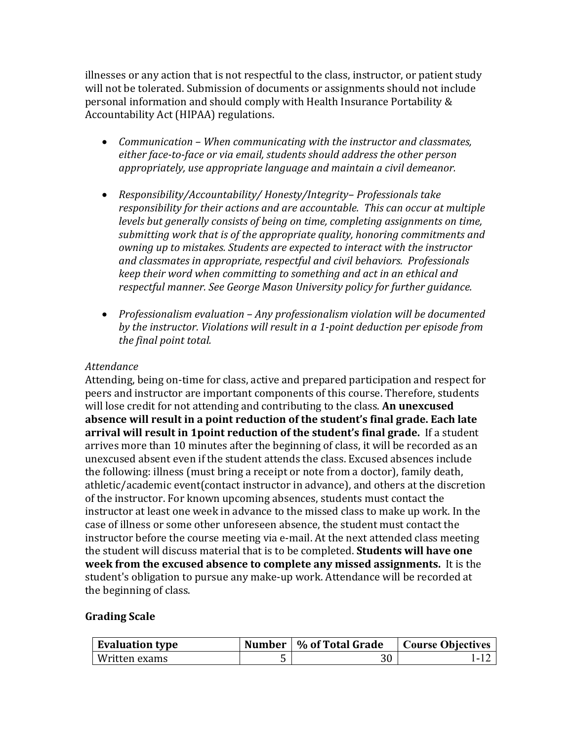illnesses or any action that is not respectful to the class, instructor, or patient study will not be tolerated. Submission of documents or assignments should not include personal information and should comply with Health Insurance Portability & Accountability Act (HIPAA) regulations.

- *Communication* When communicating with the instructor and classmates, either face-to-face or via email, students should address the other person appropriately, use appropriate language and maintain a civil demeanor.
- *Responsibility/Accountability/ Honesty/Integrity-Professionals take responsibility* for their actions and are accountable. This can occur at multiple *levels but generally consists of being on time, completing assignments on time,* submitting work that is of the appropriate quality, honoring commitments and *owning up to mistakes. Students are expected to interact with the instructor and classmates in appropriate, respectful and civil behaviors. Professionals keep* their word when committing to something and act in an ethical and *respectful manner. See George Mason University policy for further guidance.*
- Professionalism evaluation Any professionalism violation will be documented *by the instructor. Violations will result in a 1-point deduction per episode from the final point total.*

#### *Attendance*

Attending, being on-time for class, active and prepared participation and respect for peers and instructor are important components of this course. Therefore, students will lose credit for not attending and contributing to the class. An unexcused absence will result in a point reduction of the student's final grade. Each late **arrival will result in 1point reduction of the student's final grade.** If a student arrives more than 10 minutes after the beginning of class, it will be recorded as an unexcused absent even if the student attends the class. Excused absences include the following: illness (must bring a receipt or note from a doctor), family death, athletic/academic event(contact instructor in advance), and others at the discretion of the instructor. For known upcoming absences, students must contact the instructor at least one week in advance to the missed class to make up work. In the case of illness or some other unforeseen absence, the student must contact the instructor before the course meeting via e-mail. At the next attended class meeting the student will discuss material that is to be completed. **Students will have one week from the excused absence to complete any missed assignments.** It is the student's obligation to pursue any make-up work. Attendance will be recorded at the beginning of class.

### **Grading Scale**

| <b>Evaluation type</b> | Number   % of Total Grade | Course Objectives |
|------------------------|---------------------------|-------------------|
| Written exams          |                           | - 1               |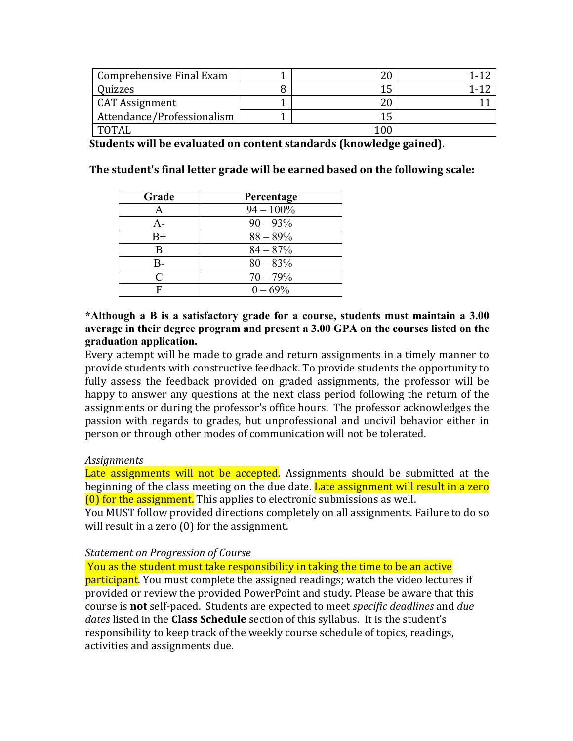| Comprehensive Final Exam   |      |  |
|----------------------------|------|--|
| Quizzes                    | 1 C  |  |
| CAT Assignment             |      |  |
| Attendance/Professionalism | 1 L  |  |
| <b>TOTAL</b>               | 00 ا |  |

**Students will be evaluated on content standards (knowledge gained).** 

**The student's final letter grade will be earned based on the following scale:** 

| Grade       | Percentage   |
|-------------|--------------|
| A           | $94 - 100\%$ |
| А-          | $90 - 93\%$  |
| $_{\rm B+}$ | $88 - 89\%$  |
| R           | $84 - 87%$   |
| B-          | $80 - 83\%$  |
| $\subset$   | $70 - 79\%$  |
|             | $0 - 69\%$   |

#### **\*Although a B is a satisfactory grade for a course, students must maintain a 3.00 average in their degree program and present a 3.00 GPA on the courses listed on the graduation application.**

Every attempt will be made to grade and return assignments in a timely manner to provide students with constructive feedback. To provide students the opportunity to fully assess the feedback provided on graded assignments, the professor will be happy to answer any questions at the next class period following the return of the assignments or during the professor's office hours. The professor acknowledges the passion with regards to grades, but unprofessional and uncivil behavior either in person or through other modes of communication will not be tolerated.

### *Assignments*

Late assignments will not be accepted. Assignments should be submitted at the beginning of the class meeting on the due date. Late assignment will result in a zero  $(0)$  for the assignment. This applies to electronic submissions as well.

You MUST follow provided directions completely on all assignments. Failure to do so will result in a zero  $(0)$  for the assignment.

#### **Statement on Progression of Course**

You as the student must take responsibility in taking the time to be an active participant. You must complete the assigned readings; watch the video lectures if provided or review the provided PowerPoint and study. Please be aware that this course is **not** self-paced. Students are expected to meet *specific deadlines* and *due dates* listed in the **Class Schedule** section of this syllabus. It is the student's responsibility to keep track of the weekly course schedule of topics, readings, activities and assignments due.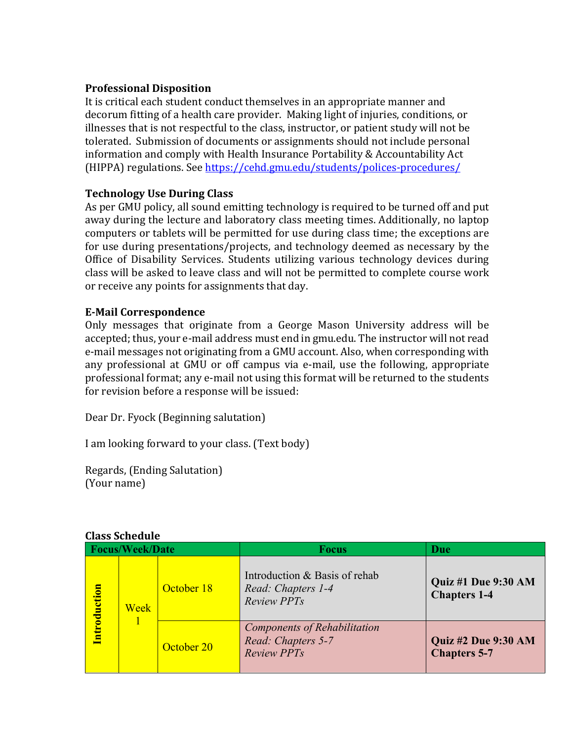### **Professional Disposition**

It is critical each student conduct themselves in an appropriate manner and decorum fitting of a health care provider. Making light of injuries, conditions, or illnesses that is not respectful to the class, instructor, or patient study will not be tolerated. Submission of documents or assignments should not include personal information and comply with Health Insurance Portability & Accountability Act (HIPPA) regulations. See https://cehd.gmu.edu/students/polices-procedures/

## **Technology Use During Class**

As per GMU policy, all sound emitting technology is required to be turned off and put away during the lecture and laboratory class meeting times. Additionally, no laptop computers or tablets will be permitted for use during class time; the exceptions are for use during presentations/projects, and technology deemed as necessary by the Office of Disability Services. Students utilizing various technology devices during class will be asked to leave class and will not be permitted to complete course work or receive any points for assignments that day.

### **E-Mail Correspondence**

Only messages that originate from a George Mason University address will be accepted; thus, your e-mail address must end in gmu.edu. The instructor will not read e-mail messages not originating from a GMU account. Also, when corresponding with any professional at GMU or off campus via e-mail, use the following, appropriate professional format; any e-mail not using this format will be returned to the students for revision before a response will be issued:

Dear Dr. Fyock (Beginning salutation)

I am looking forward to your class. (Text body)

Regards, (Ending Salutation) (Your name)

|                          | Class Schedule |            |                                                                           |                                                   |
|--------------------------|----------------|------------|---------------------------------------------------------------------------|---------------------------------------------------|
| <b>Focus/Week/Date</b>   |                |            | <b>Focus</b>                                                              | Due                                               |
| <mark>ntroduction</mark> | Week           | October 18 | Introduction & Basis of rehab<br>Read: Chapters 1-4<br><b>Review PPTs</b> | <b>Quiz #1 Due 9:30 AM</b><br><b>Chapters 1-4</b> |
|                          |                | October 20 | Components of Rehabilitation<br>Read: Chapters 5-7<br><b>Review PPTs</b>  | Quiz #2 Due 9:30 AM<br><b>Chapters 5-7</b>        |

# **Class Schedule**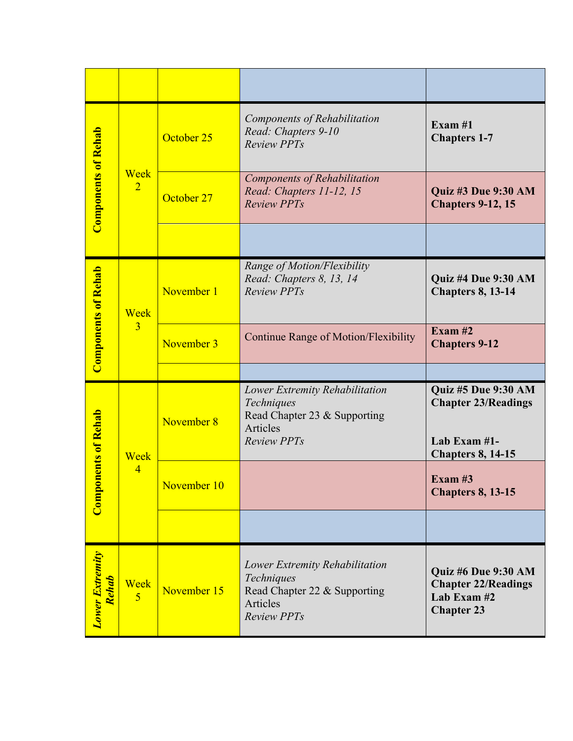| <b>Components of Rehab</b>              | Week<br>$\overline{2}$ | October 25  | Components of Rehabilitation<br>Read: Chapters 9-10<br><b>Review PPTs</b>                                      | Exam $#1$<br><b>Chapters 1-7</b>                                                                     |
|-----------------------------------------|------------------------|-------------|----------------------------------------------------------------------------------------------------------------|------------------------------------------------------------------------------------------------------|
|                                         |                        | October 27  | Components of Rehabilitation<br>Read: Chapters 11-12, 15<br><b>Review PPTs</b>                                 | <b>Quiz #3 Due 9:30 AM</b><br><b>Chapters 9-12, 15</b>                                               |
|                                         |                        |             |                                                                                                                |                                                                                                      |
| <b>Components of Rehab</b>              | Week                   | November 1  | Range of Motion/Flexibility<br>Read: Chapters 8, 13, 14<br><b>Review PPTs</b>                                  | Quiz #4 Due 9:30 AM<br><b>Chapters 8, 13-14</b>                                                      |
|                                         | $\overline{3}$         | November 3  | <b>Continue Range of Motion/Flexibility</b>                                                                    | Exam# $2$<br><b>Chapters 9-12</b>                                                                    |
|                                         |                        |             |                                                                                                                |                                                                                                      |
| <b>onents of Rehab</b><br>$_{\rm Comp}$ | Week<br>$\overline{4}$ | November 8  | Lower Extremity Rehabilitation<br>Techniques<br>Read Chapter 23 & Supporting<br>Articles<br><b>Review PPTs</b> | <b>Quiz #5 Due 9:30 AM</b><br><b>Chapter 23/Readings</b><br>Lab Exam #1-<br><b>Chapters 8, 14-15</b> |
|                                         |                        | November 10 |                                                                                                                | Exam $#3$<br><b>Chapters 8, 13-15</b>                                                                |
|                                         |                        |             |                                                                                                                |                                                                                                      |
| <b>Lower Extremity</b><br><b>Rehab</b>  | Week<br>5              | November 15 | Lower Extremity Rehabilitation<br>Techniques<br>Read Chapter 22 & Supporting<br>Articles<br><b>Review PPTs</b> | <b>Quiz #6 Due 9:30 AM</b><br><b>Chapter 22/Readings</b><br>Lab Exam #2<br><b>Chapter 23</b>         |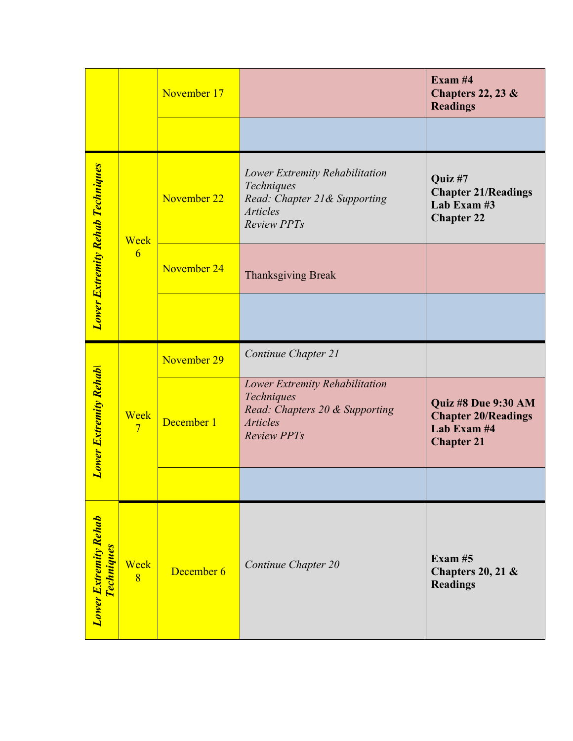|                                                   |                        | November 17 |                                                                                                                         | Exam $#4$<br>Chapters 22, 23 $\&$<br><b>Readings</b>                                  |
|---------------------------------------------------|------------------------|-------------|-------------------------------------------------------------------------------------------------------------------------|---------------------------------------------------------------------------------------|
|                                                   |                        |             |                                                                                                                         |                                                                                       |
| <b>Lower Extremity Rehab Techniques</b>           | Week                   | November 22 | Lower Extremity Rehabilitation<br>Techniques<br>Read: Chapter 21& Supporting<br><b>Articles</b><br><b>Review PPTs</b>   | Quiz #7<br><b>Chapter 21/Readings</b><br>Lab Exam #3<br><b>Chapter 22</b>             |
|                                                   | 6                      | November 24 | <b>Thanksgiving Break</b>                                                                                               |                                                                                       |
|                                                   |                        |             |                                                                                                                         |                                                                                       |
|                                                   | Week<br>$\overline{7}$ | November 29 | Continue Chapter 21                                                                                                     |                                                                                       |
| <b>Lower Extremity Rehab</b>                      |                        | December 1  | Lower Extremity Rehabilitation<br>Techniques<br>Read: Chapters 20 & Supporting<br><b>Articles</b><br><b>Review PPTs</b> | Quiz #8 Due 9:30 AM<br><b>Chapter 20/Readings</b><br>Lab Exam #4<br><b>Chapter 21</b> |
|                                                   |                        |             |                                                                                                                         |                                                                                       |
| <b>Lower Extremity Rehab</b><br><b>Techniques</b> | Week<br>$\overline{8}$ | December 6  | Continue Chapter 20                                                                                                     | Exam# $5$<br>Chapters 20, 21 $&$<br><b>Readings</b>                                   |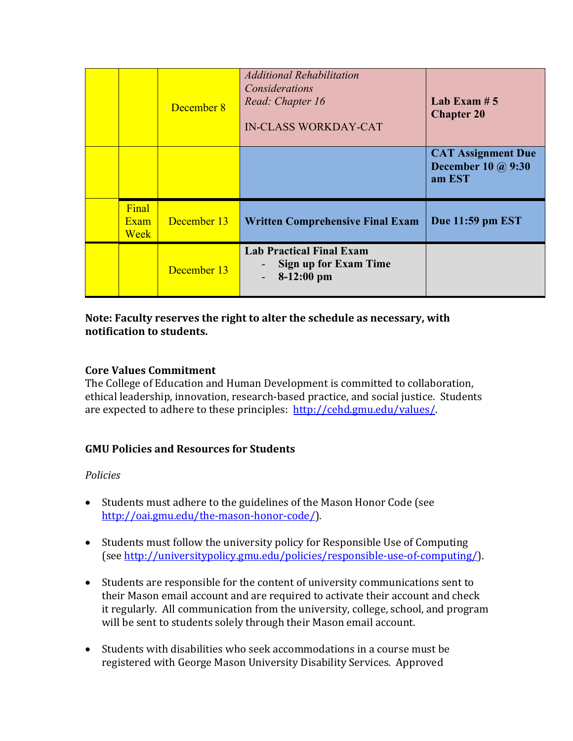|                       | December 8  | <b>Additional Rehabilitation</b><br>Considerations<br>Read: Chapter 16<br><b>IN-CLASS WORKDAY-CAT</b> | Lab Exam $# 5$<br><b>Chapter 20</b>                              |
|-----------------------|-------------|-------------------------------------------------------------------------------------------------------|------------------------------------------------------------------|
|                       |             |                                                                                                       | <b>CAT Assignment Due</b><br><b>December 10 @ 9:30</b><br>am EST |
| Final<br>Exam<br>Week | December 13 | <b>Written Comprehensive Final Exam</b>                                                               | Due 11:59 pm EST                                                 |
|                       | December 13 | <b>Lab Practical Final Exam</b><br><b>Sign up for Exam Time</b><br>$8-12:00$ pm                       |                                                                  |

## Note: Faculty reserves the right to alter the schedule as necessary, with **notification to students.**

## **Core Values Commitment**

The College of Education and Human Development is committed to collaboration, ethical leadership, innovation, research-based practice, and social justice. Students are expected to adhere to these principles: http://cehd.gmu.edu/values/.

# **GMU Policies and Resources for Students**

### *Policies*

- Students must adhere to the guidelines of the Mason Honor Code (see http://oai.gmu.edu/the-mason-honor-code/).
- Students must follow the university policy for Responsible Use of Computing (see http://universitypolicy.gmu.edu/policies/responsible-use-of-computing/).
- Students are responsible for the content of university communications sent to their Mason email account and are required to activate their account and check it regularly. All communication from the university, college, school, and program will be sent to students solely through their Mason email account.
- Students with disabilities who seek accommodations in a course must be registered with George Mason University Disability Services. Approved